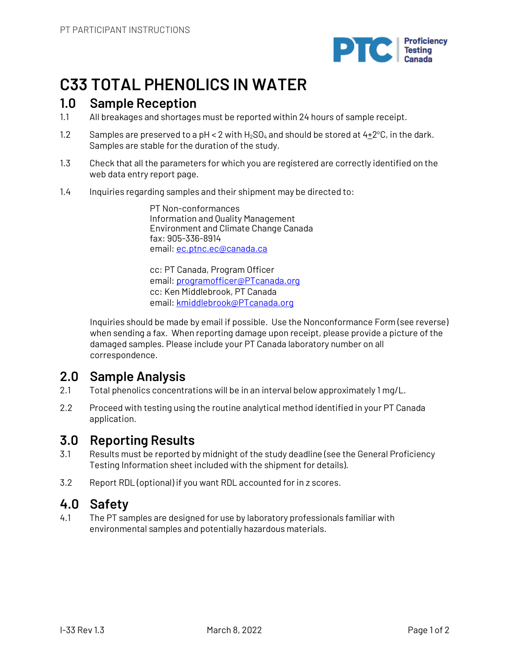

# **C33 TOTAL PHENOLICS IN WATER**

## **1.0 Sample Reception**

- 1.1 All breakages and shortages must be reported within 24 hours of sample receipt.
- 1.2 Samples are preserved to a pH < 2 with  $H_2SO_4$  and should be stored at  $4\pm 2^{\circ}C$ , in the dark. Samples are stable for the duration of the study.
- 1.3 Check that all the parameters for which you are registered are correctly identified on the web data entry report page.
- 1.4 Inquiries regarding samples and their shipment may be directed to:

PT Non-conformances Information and Quality Management Environment and Climate Change Canada fax: 905-336-8914 email: ec.ptnc.ec@canada.ca

cc: PT Canada, Program Officer email: programofficer@PTcanada.org cc: Ken Middlebrook, PT Canada email: kmiddlebrook@PTcanada.org

Inquiries should be made by email if possible. Use the Nonconformance Form (see reverse) when sending a fax. When reporting damage upon receipt, please provide a picture of the damaged samples. Please include your PT Canada laboratory number on all correspondence.

# **2.0 Sample Analysis**

- 2.1 Total phenolics concentrations will be in an interval below approximately 1 mg/L.
- 2.2 Proceed with testing using the routine analytical method identified in your PT Canada application.

## **3.0 Reporting Results**

- 3.1 Results must be reported by midnight of the study deadline (see the General Proficiency Testing Information sheet included with the shipment for details).
- 3.2 Report RDL (optional) if you want RDL accounted for in z scores.

## **4.0 Safety**

4.1 The PT samples are designed for use by laboratory professionals familiar with environmental samples and potentially hazardous materials.